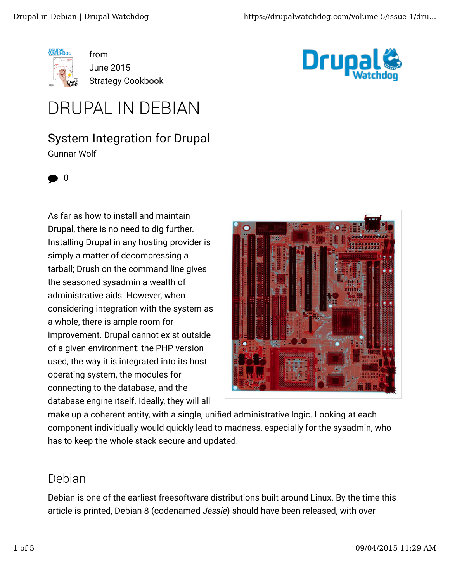

from June 2015 **Strategy Cookbook** 



# DRUPAL IN DEBIAN

#### System Integration for Drupal Gunnar Wolf



As far as how to install and maintain Drupal, there is no need to dig further. Installing Drupal in any hosting provider is simply a matter of decompressing a tarball; Drush on the command line gives the seasoned sysadmin a wealth of administrative aids. However, when considering integration with the system as a whole, there is ample room for improvement. Drupal cannot exist outside of a given environment: the PHP version used, the way it is integrated into its host operating system, the modules for connecting to the database, and the database engine itself. Ideally, they will all



make up a coherent entity, with a single, unified administrative logic. Looking at each component individually would quickly lead to madness, especially for the sysadmin, who has to keep the whole stack secure and updated.

#### Debian

Debian is one of the earliest freesoftware distributions built around Linux. By the time this article is printed, Debian 8 (codenamed *Jessie*) should have been released, with over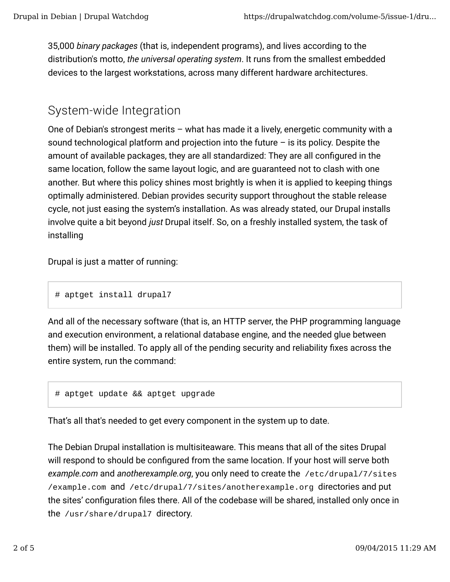35,000 *binary packages* (that is, independent programs), and lives according to the distribution's motto, *the universal operating system*. It runs from the smallest embedded devices to the largest workstations, across many different hardware architectures.

#### System-wide Integration

One of Debian's strongest merits – what has made it a lively, energetic community with a sound technological platform and projection into the future  $-$  is its policy. Despite the amount of available packages, they are all standardized: They are all configured in the same location, follow the same layout logic, and are guaranteed not to clash with one another. But where this policy shines most brightly is when it is applied to keeping things optimally administered. Debian provides security support throughout the stable release cycle, not just easing the system's installation. As was already stated, our Drupal installs involve quite a bit beyond *just* Drupal itself. So, on a freshly installed system, the task of installing

Drupal is just a matter of running:

# aptget install drupal7

And all of the necessary software (that is, an HTTP server, the PHP programming language and execution environment, a relational database engine, and the needed glue between them) will be installed. To apply all of the pending security and reliability fixes across the entire system, run the command:

```
# aptget update && aptget upgrade
```
That's all that's needed to get every component in the system up to date.

The Debian Drupal installation is multisiteaware. This means that all of the sites Drupal will respond to should be configured from the same location. If your host will serve both *example.com* and *anotherexample.org*, you only need to create the /etc/drupal/7/sites /example.com and /etc/drupal/7/sites/anotherexample.org directories and put the sites' configuration files there. All of the codebase will be shared, installed only once in the /usr/share/drupal7 directory.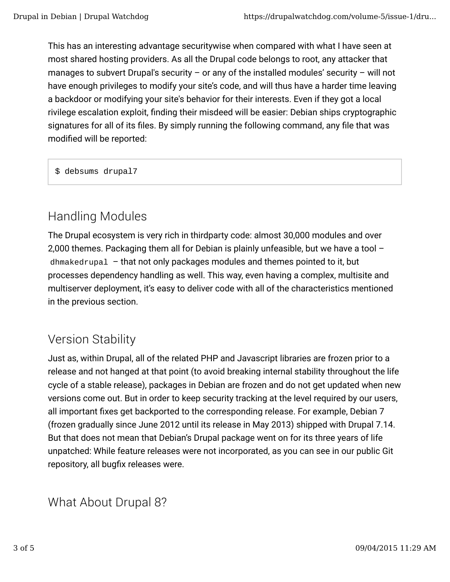This has an interesting advantage securitywise when compared with what I have seen at most shared hosting providers. As all the Drupal code belongs to root, any attacker that manages to subvert Drupal's security  $-$  or any of the installed modules' security  $-$  will not have enough privileges to modify your site's code, and will thus have a harder time leaving a backdoor or modifying your site's behavior for their interests. Even if they got a local rivilege escalation exploit, finding their misdeed will be easier: Debian ships cryptographic signatures for all of its files. By simply running the following command, any file that was modified will be reported:

\$ debsums drupal7

## Handling Modules

The Drupal ecosystem is very rich in thirdparty code: almost 30,000 modules and over 2,000 themes. Packaging them all for Debian is plainly unfeasible, but we have a tool – dhmakedrupal – that not only packages modules and themes pointed to it, but processes dependency handling as well. This way, even having a complex, multisite and multiserver deployment, it's easy to deliver code with all of the characteristics mentioned in the previous section.

## Version Stability

Just as, within Drupal, all of the related PHP and Javascript libraries are frozen prior to a release and not hanged at that point (to avoid breaking internal stability throughout the life cycle of a stable release), packages in Debian are frozen and do not get updated when new versions come out. But in order to keep security tracking at the level required by our users, all important fixes get backported to the corresponding release. For example, Debian 7 (frozen gradually since June 2012 until its release in May 2013) shipped with Drupal 7.14. But that does not mean that Debian's Drupal package went on for its three years of life unpatched: While feature releases were not incorporated, as you can see in our public Git repository, all bugfix releases were.

What About Drupal 8?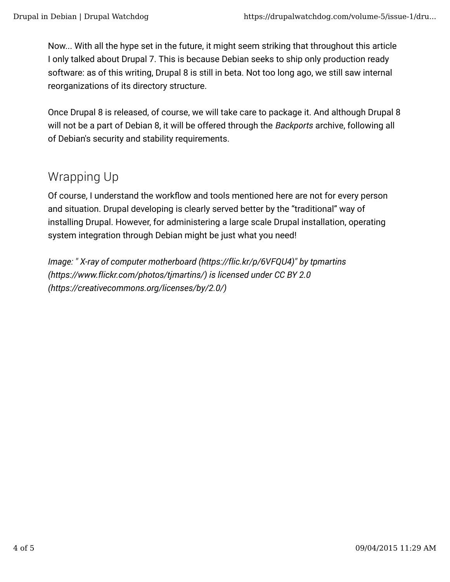Now... With all the hype set in the future, it might seem striking that throughout this article I only talked about Drupal 7. This is because Debian seeks to ship only production ready software: as of this writing, Drupal 8 is still in beta. Not too long ago, we still saw internal reorganizations of its directory structure.

Once Drupal 8 is released, of course, we will take care to package it. And although Drupal 8 will not be a part of Debian 8, it will be offered through the *Backports* archive, following all of Debian's security and stability requirements.

### Wrapping Up

Of course, I understand the workflow and tools mentioned here are not for every person and situation. Drupal developing is clearly served better by the "traditional" way of installing Drupal. However, for administering a large scale Drupal installation, operating system integration through Debian might be just what you need!

*Image: " X-ray of computer motherboard (https://flic.kr/p/6VFQU4)" by tpmartins (https://www.flickr.com/photos/tjmartins/) is licensed under CC BY 2.0 (https://creativecommons.org/licenses/by/2.0/)*